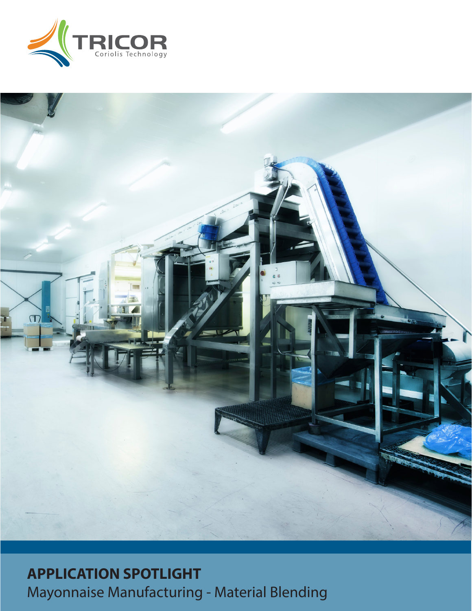



# **APPLICATION SPOTLIGHT** Mayonnaise Manufacturing - Material Blending